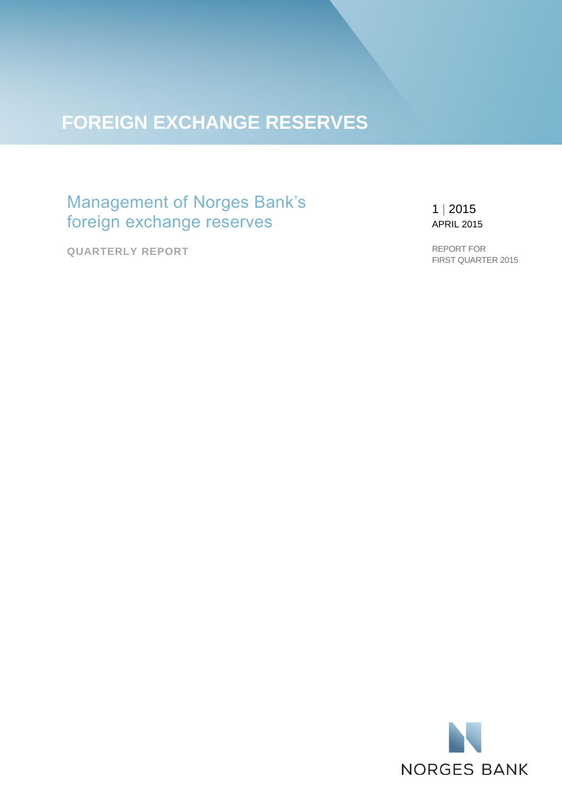# **FOREIGN EXCHANGE RESERVES**

# Management of Norges Bank's foreign exchange reserves

**QUARTERLY REPORT**

# 1 | 2015 APRIL 2015

REPORT FOR FIRST QUARTER 2015

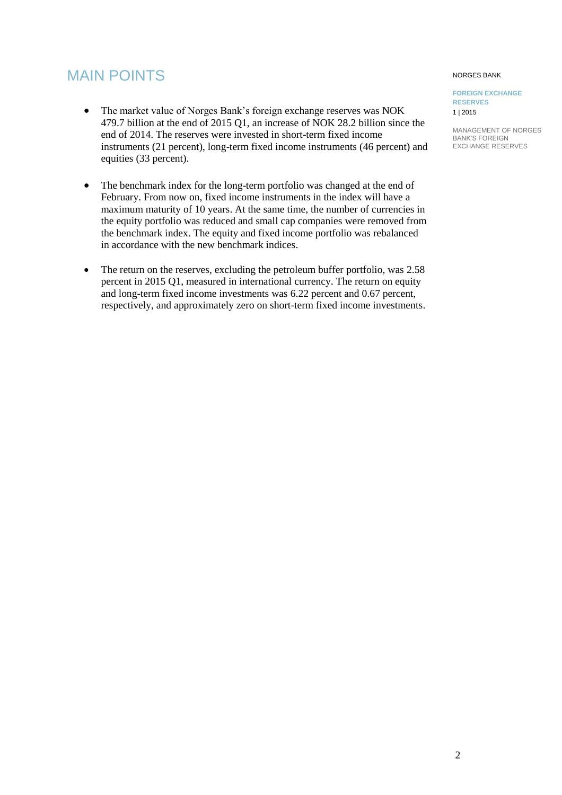# MAIN POINTS

- The market value of Norges Bank's foreign exchange reserves was NOK 479.7 billion at the end of 2015 Q1, an increase of NOK 28.2 billion since the end of 2014. The reserves were invested in short-term fixed income instruments (21 percent), long-term fixed income instruments (46 percent) and equities (33 percent).
- The benchmark index for the long-term portfolio was changed at the end of February. From now on, fixed income instruments in the index will have a maximum maturity of 10 years. At the same time, the number of currencies in the equity portfolio was reduced and small cap companies were removed from the benchmark index. The equity and fixed income portfolio was rebalanced in accordance with the new benchmark indices.
- The return on the reserves, excluding the petroleum buffer portfolio, was 2.58 percent in 2015 Q1, measured in international currency. The return on equity and long-term fixed income investments was 6.22 percent and 0.67 percent, respectively, and approximately zero on short-term fixed income investments.

#### NORGES BANK

#### **FOREIGN EXCHANGE RESERVES** 1 | 2015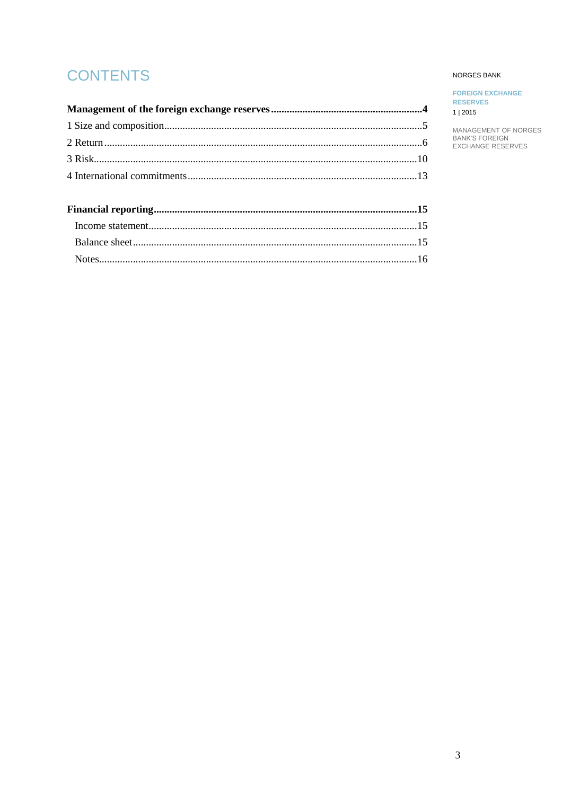# **CONTENTS**

### NORGES BANK

**FOREIGN EXCHANGE RESERVES** 1 | 2015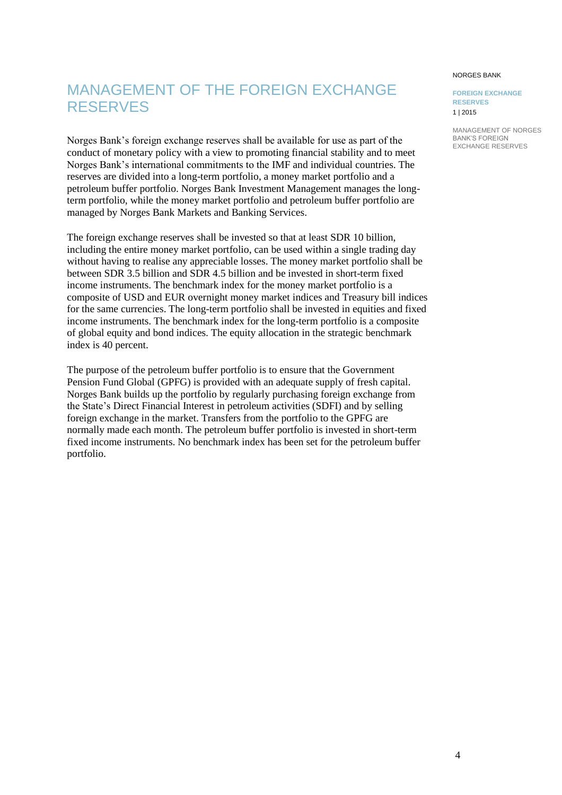NORGES BANK

**FOREIGN EXCHANGE RESERVES** 1 | 2015

# <span id="page-3-0"></span>MANAGEMENT OF THE FOREIGN EXCHANGE RESERVES

Norges Bank's foreign exchange reserves shall be available for use as part of the conduct of monetary policy with a view to promoting financial stability and to meet Norges Bank's international commitments to the IMF and individual countries. The reserves are divided into a long-term portfolio, a money market portfolio and a petroleum buffer portfolio. Norges Bank Investment Management manages the longterm portfolio, while the money market portfolio and petroleum buffer portfolio are managed by Norges Bank Markets and Banking Services.

The foreign exchange reserves shall be invested so that at least SDR 10 billion, including the entire money market portfolio, can be used within a single trading day without having to realise any appreciable losses. The money market portfolio shall be between SDR 3.5 billion and SDR 4.5 billion and be invested in short-term fixed income instruments. The benchmark index for the money market portfolio is a composite of USD and EUR overnight money market indices and Treasury bill indices for the same currencies. The long-term portfolio shall be invested in equities and fixed income instruments. The benchmark index for the long-term portfolio is a composite of global equity and bond indices. The equity allocation in the strategic benchmark index is 40 percent.

The purpose of the petroleum buffer portfolio is to ensure that the Government Pension Fund Global (GPFG) is provided with an adequate supply of fresh capital. Norges Bank builds up the portfolio by regularly purchasing foreign exchange from the State's Direct Financial Interest in petroleum activities (SDFI) and by selling foreign exchange in the market. Transfers from the portfolio to the GPFG are normally made each month. The petroleum buffer portfolio is invested in short-term fixed income instruments. No benchmark index has been set for the petroleum buffer portfolio.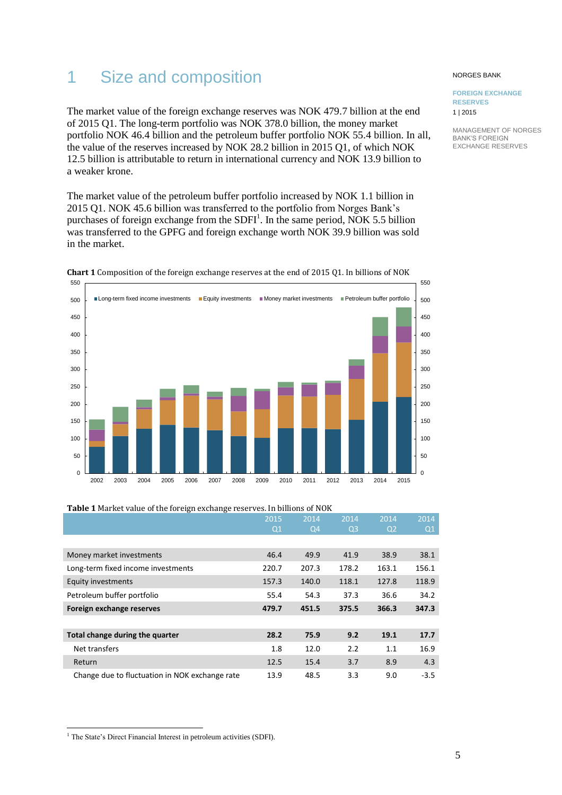# <span id="page-4-0"></span>1 Size and composition

The market value of the foreign exchange reserves was NOK 479.7 billion at the end of 2015 Q1. The long-term portfolio was NOK 378.0 billion, the money market portfolio NOK 46.4 billion and the petroleum buffer portfolio NOK 55.4 billion. In all, the value of the reserves increased by NOK 28.2 billion in 2015 Q1, of which NOK 12.5 billion is attributable to return in international currency and NOK 13.9 billion to a weaker krone.

The market value of the petroleum buffer portfolio increased by NOK 1.1 billion in 2015 Q1. NOK 45.6 billion was transferred to the portfolio from Norges Bank's purchases of foreign exchange from the  $SDFI<sup>1</sup>$ . In the same period, NOK 5.5 billion was transferred to the GPFG and foreign exchange worth NOK 39.9 billion was sold in the market.



**Chart 1** Composition of the foreign exchange reserves at the end of 2015 Q1. In billions of NOK

|                                                | 2015  | 2014  | 2014  | 2014           | 2014   |
|------------------------------------------------|-------|-------|-------|----------------|--------|
|                                                | Q1    | Q4    | Q3    | Q <sub>2</sub> | Q1     |
|                                                |       |       |       |                |        |
| Money market investments                       | 46.4  | 49.9  | 41.9  | 38.9           | 38.1   |
| Long-term fixed income investments             | 220.7 | 207.3 | 178.2 | 163.1          | 156.1  |
| <b>Equity investments</b>                      | 157.3 | 140.0 | 118.1 | 127.8          | 118.9  |
| Petroleum buffer portfolio                     | 55.4  | 54.3  | 37.3  | 36.6           | 34.2   |
| Foreign exchange reserves                      | 479.7 | 451.5 | 375.5 | 366.3          | 347.3  |
|                                                |       |       |       |                |        |
| Total change during the quarter                | 28.2  | 75.9  | 9.2   | 19.1           | 17.7   |
| Net transfers                                  | 1.8   | 12.0  | 2.2   | 1.1            | 16.9   |
| Return                                         | 12.5  | 15.4  | 3.7   | 8.9            | 4.3    |
| Change due to fluctuation in NOK exchange rate | 13.9  | 48.5  | 3.3   | 9.0            | $-3.5$ |

**Table 1** Market value of the foreign exchange reserves. In billions of NOK

### NORGES BANK

**FOREIGN EXCHANGE RESERVES** 1 | 2015

 $\overline{a}$ <sup>1</sup> The State's Direct Financial Interest in petroleum activities (SDFI).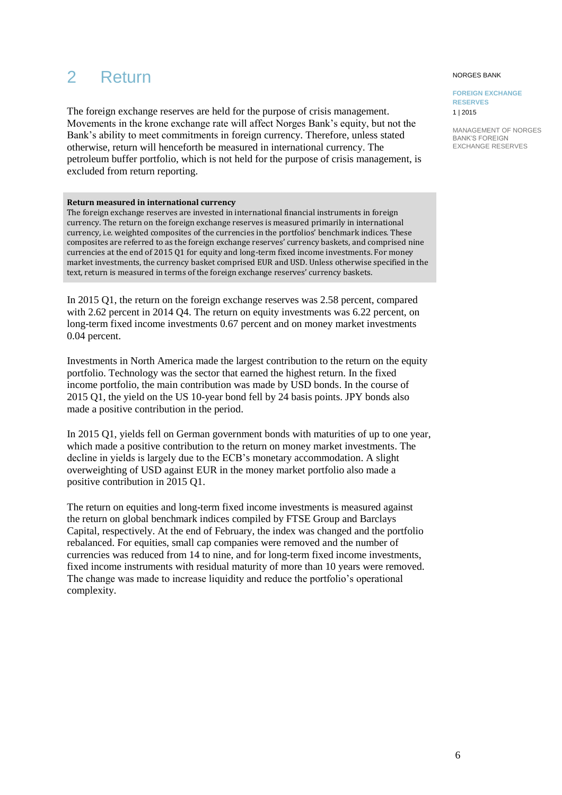# <span id="page-5-0"></span>2 Return

The foreign exchange reserves are held for the purpose of crisis management. Movements in the krone exchange rate will affect Norges Bank's equity, but not the Bank's ability to meet commitments in foreign currency. Therefore, unless stated otherwise, return will henceforth be measured in international currency. The petroleum buffer portfolio, which is not held for the purpose of crisis management, is excluded from return reporting.

### **Return measured in international currency**

The foreign exchange reserves are invested in international financial instruments in foreign currency. The return on the foreign exchange reserves is measured primarily in international currency, i.e. weighted composites of the currencies in the portfolios' benchmark indices. These composites are referred to as the foreign exchange reserves' currency baskets, and comprised nine currencies at the end of 2015 Q1 for equity and long-term fixed income investments. For money market investments, the currency basket comprised EUR and USD. Unless otherwise specified in the text, return is measured in terms of the foreign exchange reserves' currency baskets.

In 2015 Q1, the return on the foreign exchange reserves was 2.58 percent, compared with 2.62 percent in 2014 O4. The return on equity investments was 6.22 percent, on long-term fixed income investments 0.67 percent and on money market investments 0.04 percent.

Investments in North America made the largest contribution to the return on the equity portfolio. Technology was the sector that earned the highest return. In the fixed income portfolio, the main contribution was made by USD bonds. In the course of 2015 Q1, the yield on the US 10-year bond fell by 24 basis points. JPY bonds also made a positive contribution in the period.

In 2015 Q1, yields fell on German government bonds with maturities of up to one year, which made a positive contribution to the return on money market investments. The decline in yields is largely due to the ECB's monetary accommodation. A slight overweighting of USD against EUR in the money market portfolio also made a positive contribution in 2015 Q1.

The return on equities and long-term fixed income investments is measured against the return on global benchmark indices compiled by FTSE Group and Barclays Capital, respectively. At the end of February, the index was changed and the portfolio rebalanced. For equities, small cap companies were removed and the number of currencies was reduced from 14 to nine, and for long-term fixed income investments, fixed income instruments with residual maturity of more than 10 years were removed. The change was made to increase liquidity and reduce the portfolio's operational complexity.

#### NORGES BANK

**FOREIGN EXCHANGE RESERVES** 1 | 2015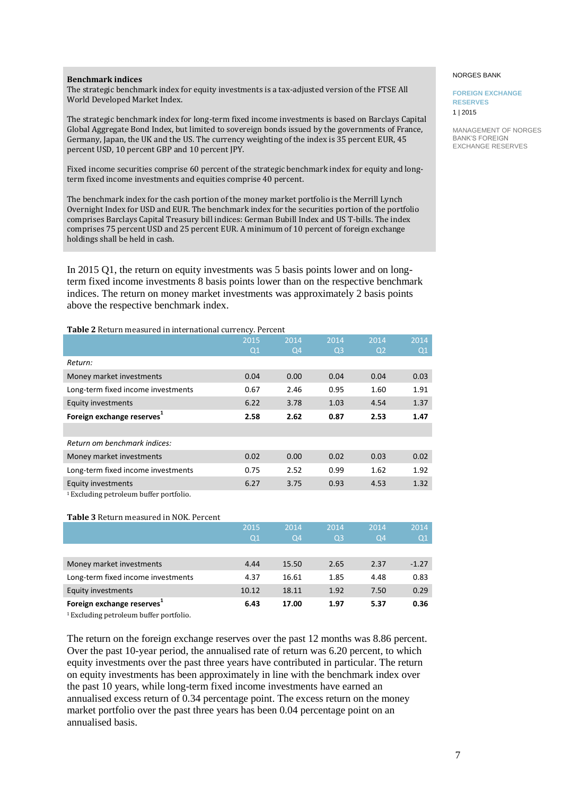#### **Benchmark indices**

The strategic benchmark index for equity investments is a tax-adjusted version of the FTSE All World Developed Market Index.

The strategic benchmark index for long-term fixed income investments is based on Barclays Capital Global Aggregate Bond Index, but limited to sovereign bonds issued by the governments of France, Germany, Japan, the UK and the US. The currency weighting of the index is 35 percent EUR, 45 percent USD, 10 percent GBP and 10 percent JPY.

Fixed income securities comprise 60 percent of the strategic benchmark index for equity and longterm fixed income investments and equities comprise 40 percent.

The benchmark index for the cash portion of the money market portfolio is the Merrill Lynch Overnight Index for USD and EUR. The benchmark index for the securities portion of the portfolio comprises Barclays Capital Treasury bill indices: German Bubill Index and US T-bills. The index comprises 75 percent USD and 25 percent EUR. A minimum of 10 percent of foreign exchange holdings shall be held in cash.

In 2015 Q1, the return on equity investments was 5 basis points lower and on longterm fixed income investments 8 basis points lower than on the respective benchmark indices. The return on money market investments was approximately 2 basis points above the respective benchmark index.

#### **Table 2** Return measured in international currency. Percent

|                                        | 2015           | 2014           | 2014           | 2014           | 2014 |
|----------------------------------------|----------------|----------------|----------------|----------------|------|
|                                        | Q <sub>1</sub> | Q <sub>4</sub> | Q <sub>3</sub> | Q <sub>2</sub> | Q1   |
| Return:                                |                |                |                |                |      |
| Money market investments               | 0.04           | 0.00           | 0.04           | 0.04           | 0.03 |
| Long-term fixed income investments     | 0.67           | 2.46           | 0.95           | 1.60           | 1.91 |
| <b>Equity investments</b>              | 6.22           | 3.78           | 1.03           | 4.54           | 1.37 |
| Foreign exchange reserves <sup>1</sup> | 2.58           | 2.62           | 0.87           | 2.53           | 1.47 |
|                                        |                |                |                |                |      |
| Return om benchmark indices:           |                |                |                |                |      |
| Money market investments               | 0.02           | 0.00           | 0.02           | 0.03           | 0.02 |
| Long-term fixed income investments     | 0.75           | 2.52           | 0.99           | 1.62           | 1.92 |
| Equity investments                     | 6.27           | 3.75           | 0.93           | 4.53           | 1.32 |
| 1 Eveluding notroloum buffer nortfolio |                |                |                |                |      |

ciuding petroleum buffer portfolio.

#### **Table 3** Return measured in NOK. Percent

|                                        | 2015<br>Q1 | 2014<br>Q <sub>4</sub> | 2014<br>Q <sub>3</sub> | 2014<br>Q4 | 2014<br>$\Omega$ |
|----------------------------------------|------------|------------------------|------------------------|------------|------------------|
|                                        |            |                        |                        |            |                  |
| Money market investments               | 4.44       | 15.50                  | 2.65                   | 2.37       | $-1.27$          |
| Long-term fixed income investments     | 4.37       | 16.61                  | 1.85                   | 4.48       | 0.83             |
| <b>Equity investments</b>              | 10.12      | 18.11                  | 1.92                   | 7.50       | 0.29             |
| Foreign exchange reserves <sup>+</sup> | 6.43       | 17.00                  | 1.97                   | 5.37       | 0.36             |

<sup>1</sup>Excluding petroleum buffer portfolio.

The return on the foreign exchange reserves over the past 12 months was 8.86 percent. Over the past 10-year period, the annualised rate of return was 6.20 percent, to which equity investments over the past three years have contributed in particular. The return on equity investments has been approximately in line with the benchmark index over the past 10 years, while long-term fixed income investments have earned an annualised excess return of 0.34 percentage point. The excess return on the money market portfolio over the past three years has been 0.04 percentage point on an annualised basis.

#### NORGES BANK

#### **FOREIGN EXCHANGE RESERVES** 1 | 2015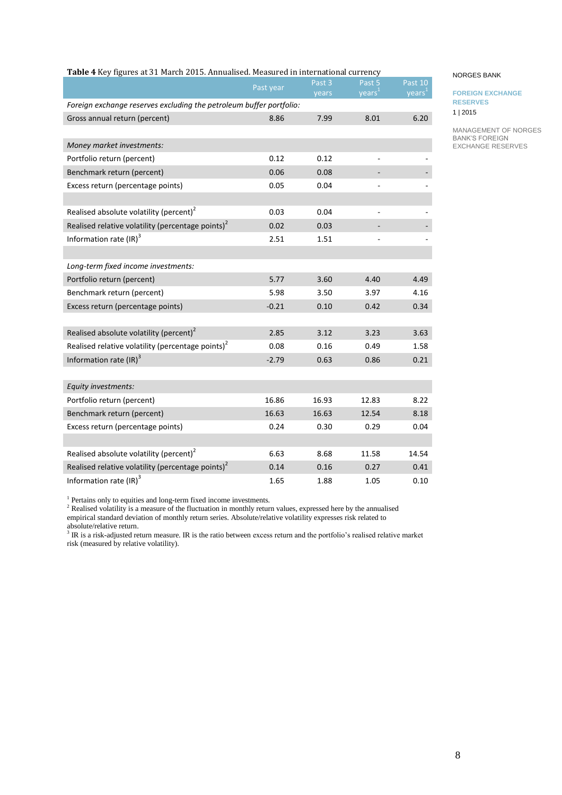|                                                                     | Past year | Past 3 | Past 5             | Past 10            |
|---------------------------------------------------------------------|-----------|--------|--------------------|--------------------|
|                                                                     |           | years  | years <sup>1</sup> | years <sup>1</sup> |
| Foreign exchange reserves excluding the petroleum buffer portfolio: |           |        |                    |                    |
| Gross annual return (percent)                                       | 8.86      | 7.99   | 8.01               | 6.20               |
|                                                                     |           |        |                    |                    |
| Money market investments:                                           |           |        |                    |                    |
| Portfolio return (percent)                                          | 0.12      | 0.12   |                    |                    |
| Benchmark return (percent)                                          | 0.06      | 0.08   |                    |                    |
| Excess return (percentage points)                                   | 0.05      | 0.04   |                    |                    |
|                                                                     |           |        |                    |                    |
| Realised absolute volatility (percent) <sup>2</sup>                 | 0.03      | 0.04   |                    |                    |
| Realised relative volatility (percentage points) <sup>2</sup>       | 0.02      | 0.03   |                    |                    |
| Information rate (IR) <sup>3</sup>                                  | 2.51      | 1.51   |                    |                    |
|                                                                     |           |        |                    |                    |
| Long-term fixed income investments:                                 |           |        |                    |                    |
| Portfolio return (percent)                                          | 5.77      | 3.60   | 4.40               | 4.49               |
| Benchmark return (percent)                                          | 5.98      | 3.50   | 3.97               | 4.16               |
| Excess return (percentage points)                                   | $-0.21$   | 0.10   | 0.42               | 0.34               |
|                                                                     |           |        |                    |                    |
| Realised absolute volatility (percent) <sup>2</sup>                 | 2.85      | 3.12   | 3.23               | 3.63               |
| Realised relative volatility (percentage points) <sup>2</sup>       | 0.08      | 0.16   | 0.49               | 1.58               |
| Information rate $\text{(IR)}^3$                                    | $-2.79$   | 0.63   | 0.86               | 0.21               |
|                                                                     |           |        |                    |                    |
| Equity investments:                                                 |           |        |                    |                    |
| Portfolio return (percent)                                          | 16.86     | 16.93  | 12.83              | 8.22               |
| Benchmark return (percent)                                          | 16.63     | 16.63  | 12.54              | 8.18               |
| Excess return (percentage points)                                   | 0.24      | 0.30   | 0.29               | 0.04               |
|                                                                     |           |        |                    |                    |
| Realised absolute volatility (percent) $2$                          | 6.63      | 8.68   | 11.58              | 14.54              |
| Realised relative volatility (percentage points) <sup>2</sup>       | 0.14      | 0.16   | 0.27               | 0.41               |
| Information rate (IR) <sup>3</sup>                                  | 1.65      | 1.88   | 1.05               | 0.10               |

### **Table 4** Key figures at 31 March 2015. Annualised. Measured in international currency

<sup>1</sup> Pertains only to equities and long-term fixed income investments.

<sup>2</sup> Realised volatility is a measure of the fluctuation in monthly return values, expressed here by the annualised empirical standard deviation of monthly return series. Absolute/relative volatility expresses risk related to

absolute/relative return.<br><sup>3</sup> IR is a risk-adjusted return measure. IR is the ratio between excess return and the portfolio's realised relative market risk (measured by relative volatility).

#### NORGES BANK

**FOREIGN EXCHANGE RESERVES** 1 | 2015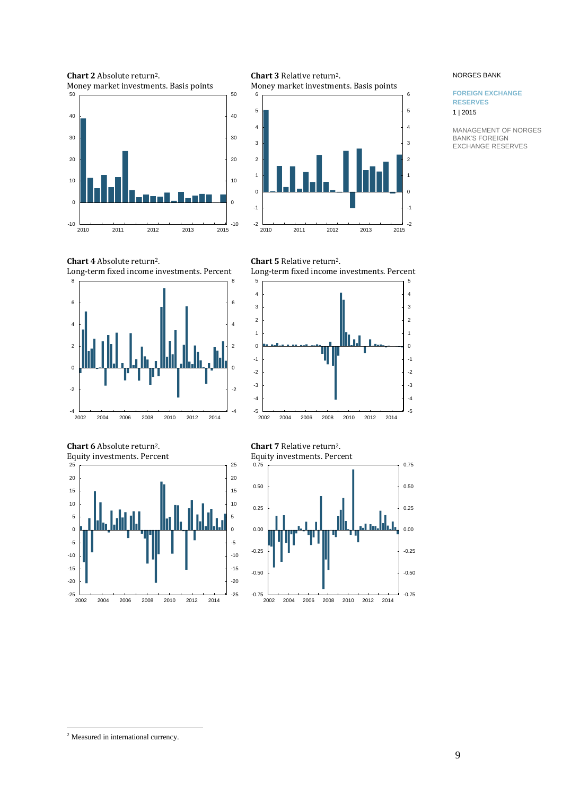**Chart 2** Absolute return2. Money market investments. Basis points





**Chart 3** Relative return2.

# **Chart 4** Absolute return2. Long-term fixed income investments. Percent



**Chart 6** Absolute return2. Equity investments. Percent







**Chart 7** Relative return2. Equity investments. Percent



#### NORGES BANK

#### **FOREIGN EXCHANGE RESERVES** 1 | 2015

MANAGEMENT OF NORGES BANK'S FOREIGN EXCHANGE RESERVES

<sup>2</sup> Measured in international currency.

 $\overline{a}$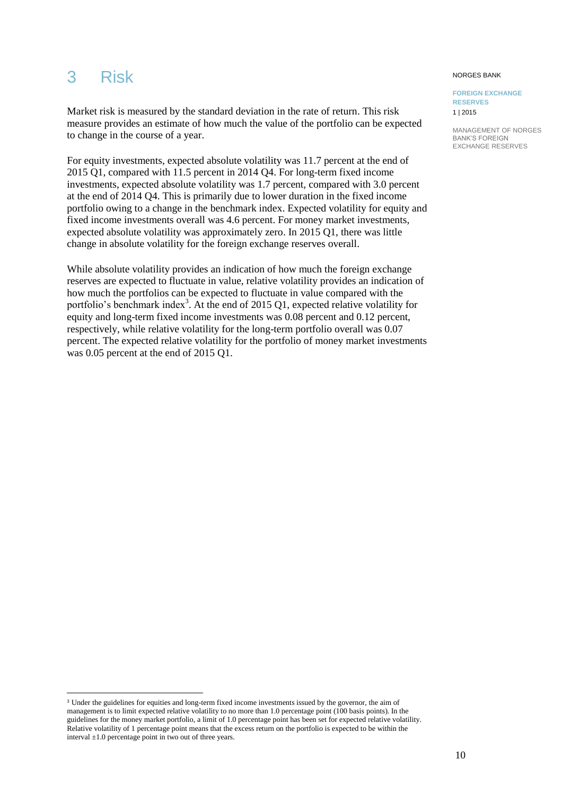# <span id="page-9-0"></span>3 Risk

l

NORGES BANK

**FOREIGN EXCHANGE RESERVES**

1 | 2015

MANAGEMENT OF NORGES BANK'S FOREIGN EXCHANGE RESERVES

Market risk is measured by the standard deviation in the rate of return. This risk measure provides an estimate of how much the value of the portfolio can be expected to change in the course of a year.

For equity investments, expected absolute volatility was 11.7 percent at the end of 2015 Q1, compared with 11.5 percent in 2014 Q4. For long-term fixed income investments, expected absolute volatility was 1.7 percent, compared with 3.0 percent at the end of 2014 Q4. This is primarily due to lower duration in the fixed income portfolio owing to a change in the benchmark index. Expected volatility for equity and fixed income investments overall was 4.6 percent. For money market investments, expected absolute volatility was approximately zero. In 2015 Q1, there was little change in absolute volatility for the foreign exchange reserves overall.

While absolute volatility provides an indication of how much the foreign exchange reserves are expected to fluctuate in value, relative volatility provides an indication of how much the portfolios can be expected to fluctuate in value compared with the portfolio's benchmark index<sup>3</sup>. At the end of 2015 Q1, expected relative volatility for equity and long-term fixed income investments was 0.08 percent and 0.12 percent, respectively, while relative volatility for the long-term portfolio overall was 0.07 percent. The expected relative volatility for the portfolio of money market investments was 0.05 percent at the end of 2015 Q1.

<sup>3</sup> Under the guidelines for equities and long-term fixed income investments issued by the governor, the aim of management is to limit expected relative volatility to no more than 1.0 percentage point (100 basis points). In the guidelines for the money market portfolio, a limit of 1.0 percentage point has been set for expected relative volatility. Relative volatility of 1 percentage point means that the excess return on the portfolio is expected to be within the interval ±1.0 percentage point in two out of three years.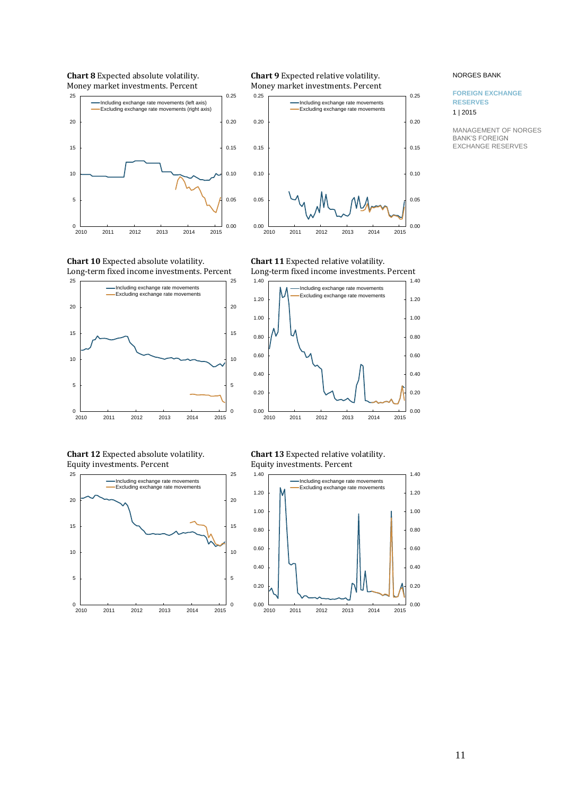**Chart 8** Expected absolute volatility. Money market investments. Percent





**Chart 9** Expected relative volatility.





**Chart 12** Expected absolute volatility. Equity investments. Percent



**Chart 11** Expected relative volatility. Long-term fixed income investments. Percent

2010 2011 2012 2013 2014 2015

 $\frac{1}{2010}$ 

0.00



**Chart 13** Expected relative volatility. Equity investments. Percent



#### NORGES BANK

#### **FOREIGN EXCHANGE RESERVES** 1 | 2015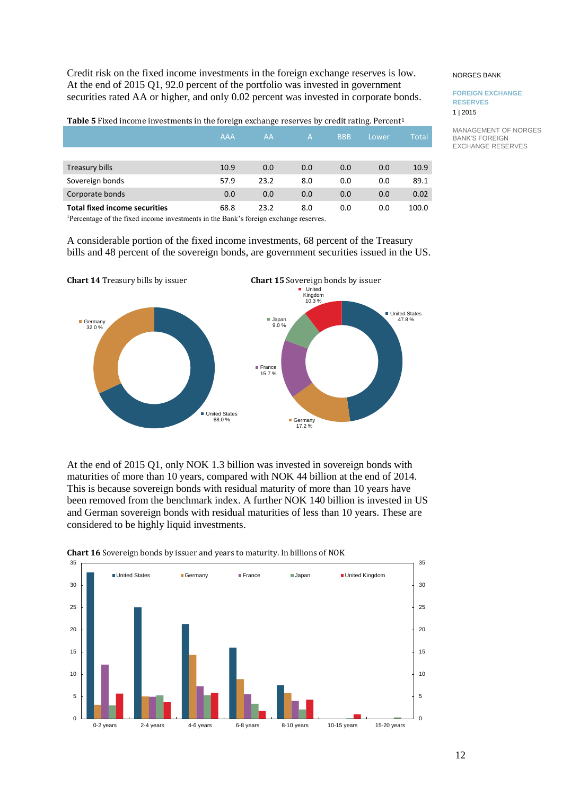Credit risk on the fixed income investments in the foreign exchange reserves is low. At the end of 2015 Q1, 92.0 percent of the portfolio was invested in government securities rated AA or higher, and only 0.02 percent was invested in corporate bonds.

**Table 5** Fixed income investments in the foreign exchange reserves by credit rating. Percent<sup>1</sup>

|                                      | <b>AAA</b> | AA   | A   | <b>BBB</b> | Lower | <b>Total</b> |
|--------------------------------------|------------|------|-----|------------|-------|--------------|
|                                      |            |      |     |            |       |              |
| Treasury bills                       | 10.9       | 0.0  | 0.0 | 0.0        | 0.0   | 10.9         |
| Sovereign bonds                      | 57.9       | 23.2 | 8.0 | 0.0        | 0.0   | 89.1         |
| Corporate bonds                      | 0.0        | 0.0  | 0.0 | 0.0        | 0.0   | 0.02         |
| <b>Total fixed income securities</b> | 68.8       | 23.2 | 8.0 | 0.0        | 0.0   | 100.0        |

<sup>1</sup>Percentage of the fixed income investments in the Bank's foreign exchange reserves.

A considerable portion of the fixed income investments, 68 percent of the Treasury bills and 48 percent of the sovereign bonds, are government securities issued in the US.



At the end of 2015 Q1, only NOK 1.3 billion was invested in sovereign bonds with maturities of more than 10 years, compared with NOK 44 billion at the end of 2014. This is because sovereign bonds with residual maturity of more than 10 years have been removed from the benchmark index. A further NOK 140 billion is invested in US and German sovereign bonds with residual maturities of less than 10 years. These are considered to be highly liquid investments.



**Chart 16** Sovereign bonds by issuer and years to maturity. In billions of NOK

#### NORGES BANK

#### **FOREIGN EXCHANGE RESERVES** 1 | 2015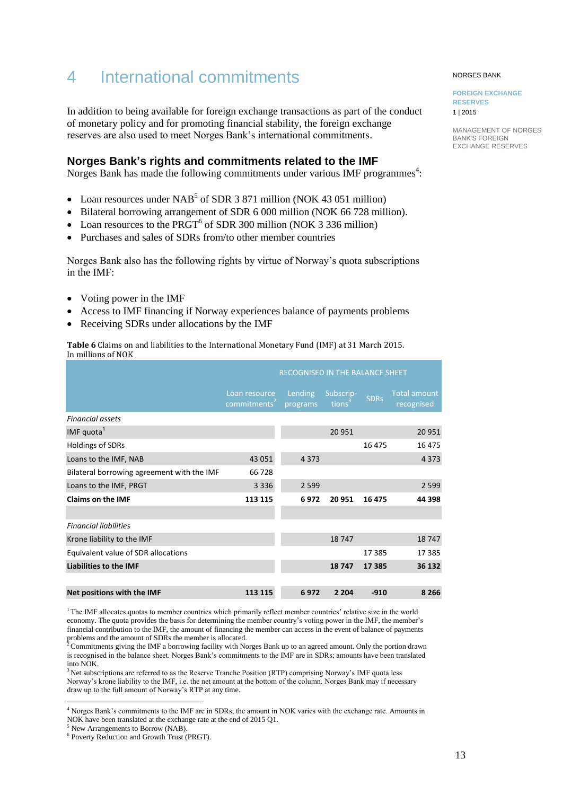# <span id="page-12-0"></span>4 International commitments

In addition to being available for foreign exchange transactions as part of the conduct of monetary policy and for promoting financial stability, the foreign exchange reserves are also used to meet Norges Bank's international commitments.

# **Norges Bank's rights and commitments related to the IMF**

Norges Bank has made the following commitments under various IMF programmes<sup>4</sup>:

- Loan resources under  $NAB<sup>5</sup>$  of SDR 3 871 million (NOK 43 051 million)
- Bilateral borrowing arrangement of SDR 6 000 million (NOK 66 728 million).
- Loan resources to the PRGT<sup>6</sup> of SDR 300 million (NOK 3 336 million)
- Purchases and sales of SDRs from/to other member countries

Norges Bank also has the following rights by virtue of Norway's quota subscriptions in the IMF:

- Voting power in the IMF
- Access to IMF financing if Norway experiences balance of payments problems
- Receiving SDRs under allocations by the IMF

**Table 6** Claims on and liabilities to the International Monetary Fund (IMF) at 31 March 2015. In millions of NOK

|                                            | RECOGNISED IN THE BALANCE SHEET           |                     |                                 |             |                                   |  |
|--------------------------------------------|-------------------------------------------|---------------------|---------------------------------|-------------|-----------------------------------|--|
|                                            | Loan resource<br>commitments <sup>2</sup> | Lending<br>programs | Subscrip-<br>tions <sup>3</sup> | <b>SDRs</b> | <b>Total amount</b><br>recognised |  |
| <b>Financial assets</b>                    |                                           |                     |                                 |             |                                   |  |
| IMF quota $1$                              |                                           |                     | 20 951                          |             | 20951                             |  |
| Holdings of SDRs                           |                                           |                     |                                 | 16 475      | 16475                             |  |
| Loans to the IMF, NAB                      | 43 051                                    | 4 3 7 3             |                                 |             | 4 3 7 3                           |  |
| Bilateral borrowing agreement with the IMF | 66728                                     |                     |                                 |             |                                   |  |
| Loans to the IMF, PRGT                     | 3 3 3 6                                   | 2 5 9 9             |                                 |             | 2 5 9 9                           |  |
| <b>Claims on the IMF</b>                   | 113 115                                   | 6972                | 20 951                          | 16 475      | 44 398                            |  |
|                                            |                                           |                     |                                 |             |                                   |  |
| <b>Financial liabilities</b>               |                                           |                     |                                 |             |                                   |  |
| Krone liability to the IMF                 |                                           |                     | 18747                           |             | 18747                             |  |
| Equivalent value of SDR allocations        |                                           |                     |                                 | 17 385      | 17 3 8 5                          |  |
| <b>Liabilities to the IMF</b>              |                                           |                     | 18747                           | 17 385      | 36 132                            |  |
|                                            |                                           |                     |                                 |             |                                   |  |
| Net positions with the IMF                 | 113 115                                   | 6972                | 2 2 0 4                         | $-910$      | 8 2 6 6                           |  |

<sup>1</sup>The IMF allocates quotas to member countries which primarily reflect member countries' relative size in the world economy. The quota provides the basis for determining the member country's voting power in the IMF, the member's financial contribution to the IMF, the amount of financing the member can access in the event of balance of payments problems and the amount of SDRs the member is allocated.

<sup>2</sup>Commitments giving the IMF a borrowing facility with Norges Bank up to an agreed amount. Only the portion drawn is recognised in the balance sheet. Norges Bank's commitments to the IMF are in SDRs; amounts have been translated into NOK.

 $3$ Net subscriptions are referred to as the Reserve Tranche Position (RTP) comprising Norway's IMF quota less Norway's krone liability to the IMF, i.e. the net amount at the bottom of the column. Norges Bank may if necessary draw up to the full amount of Norway's RTP at any time.

l

#### NORGES BANK

**FOREIGN EXCHANGE RESERVES** 1 | 2015

<sup>4</sup> Norges Bank's commitments to the IMF are in SDRs; the amount in NOK varies with the exchange rate. Amounts in NOK have been translated at the exchange rate at the end of 2015 Q1.

<sup>&</sup>lt;sup>5</sup> New Arrangements to Borrow (NAB).

<sup>6</sup> Poverty Reduction and Growth Trust (PRGT).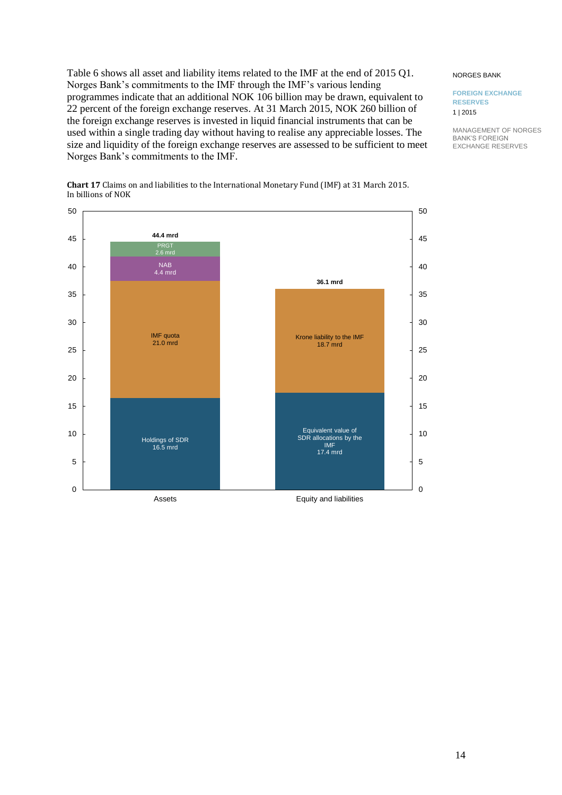Table 6 shows all asset and liability items related to the IMF at the end of 2015 Q1. Norges Bank's commitments to the IMF through the IMF's various lending programmes indicate that an additional NOK 106 billion may be drawn, equivalent to 22 percent of the foreign exchange reserves. At 31 March 2015, NOK 260 billion of the foreign exchange reserves is invested in liquid financial instruments that can be used within a single trading day without having to realise any appreciable losses. The size and liquidity of the foreign exchange reserves are assessed to be sufficient to meet Norges Bank's commitments to the IMF.

#### Holdings of SDR 16.5 mrd IMF quota 21.0 mrd NAB 4.4 mrd PRGT 2.6 mrd **44.4 mrd** Equivalent value of SDR allocations by the IMF 17.4 mrd Krone liability to the IMF 18.7 mrd **36.1 mrd** 5 10 15 20 25 30 35 40 45 50 5 10 15 20 25 30 35 40 45 50

**Chart 17** Claims on and liabilities to the International Monetary Fund (IMF) at 31 March 2015. In billions of NOK

 $\Omega$ 

Assets Equity and liabilities

 $\Omega$ 

#### NORGES BANK

#### **FOREIGN EXCHANGE RESERVES** 1 | 2015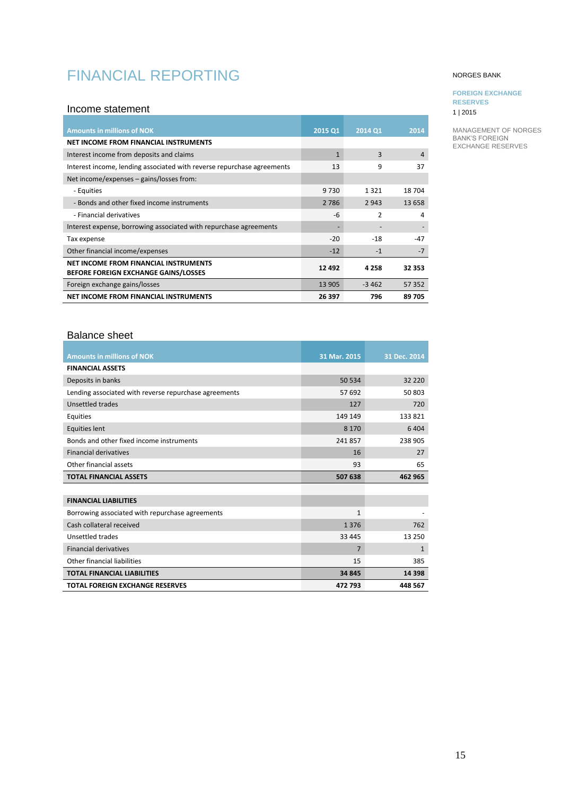# <span id="page-14-0"></span>FINANCIAL REPORTING

### <span id="page-14-1"></span>Income statement

| <b>Amounts in millions of NOK</b>                                      | 2015 Q1      | 2014 Q1        | 2014   |
|------------------------------------------------------------------------|--------------|----------------|--------|
| NET INCOME FROM FINANCIAL INSTRUMENTS                                  |              |                |        |
| Interest income from deposits and claims                               | $\mathbf{1}$ | 3              | 4      |
| Interest income, lending associated with reverse repurchase agreements | 13           | 9              | 37     |
| Net income/expenses $-$ gains/losses from:                             |              |                |        |
| - Equities                                                             | 9 7 3 0      | 1321           | 18704  |
| - Bonds and other fixed income instruments                             | 2 7 8 6      | 2 9 4 3        | 13 658 |
| - Financial derivatives                                                | $-6$         | $\mathfrak{p}$ | 4      |
| Interest expense, borrowing associated with repurchase agreements      |              |                |        |
| Tax expense                                                            | $-20$        | $-18$          | $-47$  |
| Other financial income/expenses                                        | $-12$        | $-1$           | $-7$   |
| NET INCOME FROM FINANCIAL INSTRUMENTS                                  | 12 4 9 2     | 4 2 5 8        | 32 353 |
| <b>BEFORE FOREIGN EXCHANGE GAINS/LOSSES</b>                            |              |                |        |
| Foreign exchange gains/losses                                          | 13 905       | $-3462$        | 57 352 |
| NET INCOME FROM FINANCIAL INSTRUMENTS                                  | 26 397       | 796            | 89705  |

# <span id="page-14-2"></span>Balance sheet

| <b>Amounts in millions of NOK</b>                     | 31 Mar. 2015   | 31 Dec. 2014 |
|-------------------------------------------------------|----------------|--------------|
| <b>FINANCIAL ASSETS</b>                               |                |              |
| Deposits in banks                                     | 50 534         | 32 2 2 0     |
| Lending associated with reverse repurchase agreements | 57 692         | 50803        |
| Unsettled trades                                      | 127            | 720          |
| Equities                                              | 149 149        | 133821       |
| Equities lent                                         | 8 1 7 0        | 6404         |
| Bonds and other fixed income instruments              | 241857         | 238 905      |
| <b>Financial derivatives</b>                          | 16             | 27           |
| Other financial assets                                | 93             | 65           |
| <b>TOTAL FINANCIAL ASSETS</b>                         | 507 638        | 462 965      |
|                                                       |                |              |
|                                                       |                |              |
| <b>FINANCIAL LIABILITIES</b>                          |                |              |
| Borrowing associated with repurchase agreements       | 1              |              |
| Cash collateral received                              | 1376           | 762          |
| Unsettled trades                                      | 33 445         | 13 250       |
| <b>Financial derivatives</b>                          | $\overline{7}$ | $\mathbf{1}$ |
| Other financial liabilities                           | 15             | 385          |
| <b>TOTAL FINANCIAL LIABILITIES</b>                    | 34 845         | 14 3 98      |

### NORGES BANK

# **FOREIGN EXCHANGE**

**RESERVES** 1 | 2015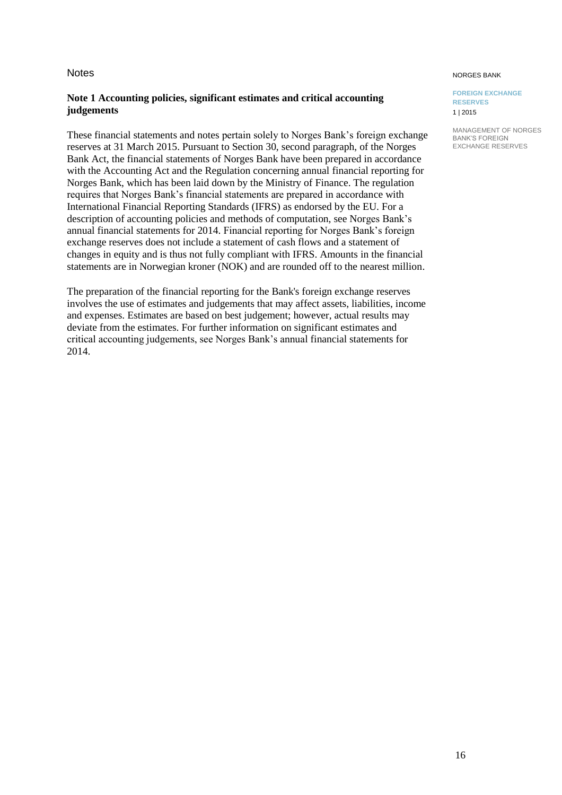# <span id="page-15-0"></span>**Notes**

# **Note 1 Accounting policies, significant estimates and critical accounting judgements**

These financial statements and notes pertain solely to Norges Bank's foreign exchange reserves at 31 March 2015. Pursuant to Section 30, second paragraph, of the Norges Bank Act, the financial statements of Norges Bank have been prepared in accordance with the Accounting Act and the Regulation concerning annual financial reporting for Norges Bank, which has been laid down by the Ministry of Finance. The regulation requires that Norges Bank's financial statements are prepared in accordance with International Financial Reporting Standards (IFRS) as endorsed by the EU. For a description of accounting policies and methods of computation, see Norges Bank's annual financial statements for 2014. Financial reporting for Norges Bank's foreign exchange reserves does not include a statement of cash flows and a statement of changes in equity and is thus not fully compliant with IFRS. Amounts in the financial statements are in Norwegian kroner (NOK) and are rounded off to the nearest million.

The preparation of the financial reporting for the Bank's foreign exchange reserves involves the use of estimates and judgements that may affect assets, liabilities, income and expenses. Estimates are based on best judgement; however, actual results may deviate from the estimates. For further information on significant estimates and critical accounting judgements, see Norges Bank's annual financial statements for 2014.

#### NORGES BANK

**FOREIGN EXCHANGE RESERVES** 1 | 2015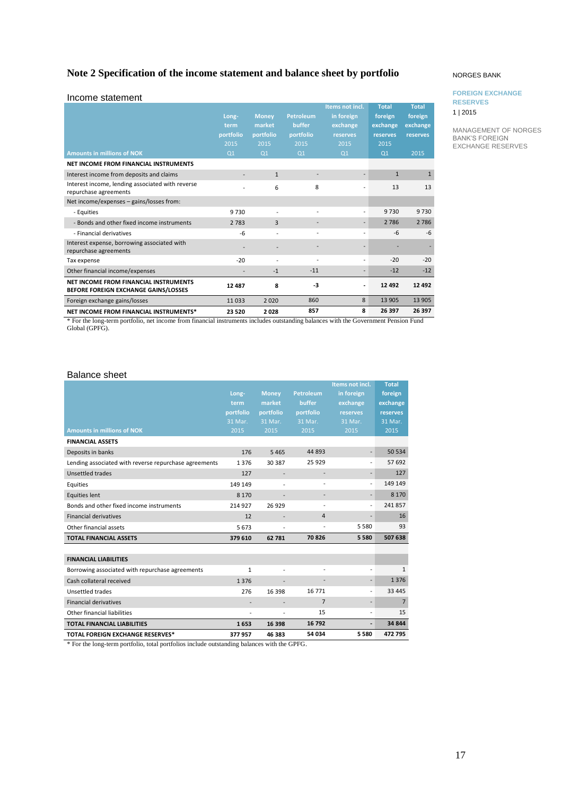# **Note 2 Specification of the income statement and balance sheet by portfolio**

| Income statement                                                                     |                                                      |                                                               |                                                                   |                                                                                 |                                                                           |                                                         |
|--------------------------------------------------------------------------------------|------------------------------------------------------|---------------------------------------------------------------|-------------------------------------------------------------------|---------------------------------------------------------------------------------|---------------------------------------------------------------------------|---------------------------------------------------------|
| <b>Amounts in millions of NOK</b>                                                    | Long-<br>term<br>portfolio<br>2015<br>O <sub>1</sub> | <b>Money</b><br>market<br>portfolio<br>2015<br>O <sub>1</sub> | <b>Petroleum</b><br>buffer<br>portfolio<br>2015<br>Q <sub>1</sub> | Items not incl.<br>in foreign<br>exchange<br>reserves<br>2015<br>O <sub>1</sub> | <b>Total</b><br>foreign<br>exchange<br>reserves<br>2015<br>Q <sub>1</sub> | <b>Total</b><br>foreign<br>exchange<br>reserves<br>2015 |
| NET INCOME FROM FINANCIAL INSTRUMENTS                                                |                                                      |                                                               |                                                                   |                                                                                 |                                                                           |                                                         |
| Interest income from deposits and claims                                             |                                                      | $\mathbf{1}$                                                  |                                                                   |                                                                                 | $\mathbf{1}$                                                              | $\overline{1}$                                          |
| Interest income, lending associated with reverse<br>repurchase agreements            |                                                      | 6                                                             | 8                                                                 |                                                                                 | 13                                                                        | 13                                                      |
| Net income/expenses - gains/losses from:                                             |                                                      |                                                               |                                                                   |                                                                                 |                                                                           |                                                         |
| - Equities                                                                           | 9730                                                 |                                                               | $\overline{a}$                                                    |                                                                                 | 9730                                                                      | 9730                                                    |
| - Bonds and other fixed income instruments                                           | 2 7 8 3                                              | 3                                                             |                                                                   |                                                                                 | 2 7 8 6                                                                   | 2 7 8 6                                                 |
| - Financial derivatives                                                              | -6                                                   |                                                               | ÷                                                                 |                                                                                 | $-6$                                                                      | $-6$                                                    |
| Interest expense, borrowing associated with<br>repurchase agreements                 |                                                      |                                                               |                                                                   |                                                                                 |                                                                           |                                                         |
| Tax expense                                                                          | $-20$                                                | ÷                                                             | $\overline{\phantom{a}}$                                          | ۰                                                                               | $-20$                                                                     | $-20$                                                   |
| Other financial income/expenses                                                      |                                                      | $-1$                                                          | $-11$                                                             |                                                                                 | $-12$                                                                     | $-12$                                                   |
| <b>NET INCOME FROM FINANCIAL INSTRUMENTS</b><br>BEFORE FOREIGN EXCHANGE GAINS/LOSSES | 12 487                                               | 8                                                             | -3                                                                |                                                                                 | 12 492                                                                    | 12 4 9 2                                                |
| Foreign exchange gains/losses                                                        | 11033                                                | 2020                                                          | 860                                                               | 8                                                                               | 13 905                                                                    | 13 905                                                  |
| NET INCOME FROM FINANCIAL INSTRUMENTS*                                               | 23 5 20                                              | 2028                                                          | 857                                                               | 8                                                                               | 26 397                                                                    | 26 397                                                  |

\* For the long-term portfolio, net income from financial instruments includes outstanding balances with the Government Pension Fund Global (GPFG).

### Balance sheet

|                                                       |              |                |                          | Items not incl.          | <b>Total</b>   |
|-------------------------------------------------------|--------------|----------------|--------------------------|--------------------------|----------------|
|                                                       | Long-        | <b>Money</b>   | <b>Petroleum</b>         | in foreign               | foreign        |
|                                                       | term         | market         | buffer                   | exchange                 | exchange       |
|                                                       | portfolio    | portfolio      | portfolio                | reserves                 | reserves       |
|                                                       | 31 Mar.      | 31 Mar.        | 31 Mar.                  | 31 Mar.                  | 31 Mar.        |
| <b>Amounts in millions of NOK</b>                     | 2015         | 2015           | 2015                     | 2015                     | 2015           |
| <b>FINANCIAL ASSETS</b>                               |              |                |                          |                          |                |
| Deposits in banks                                     | 176          | 5 4 6 5        | 44 893                   | $\overline{\phantom{0}}$ | 50 534         |
| Lending associated with reverse repurchase agreements | 1376         | 30 387         | 25 9 29                  | $\overline{a}$           | 57 692         |
| Unsettled trades                                      | 127          |                |                          | $\overline{a}$           | 127            |
| Equities                                              | 149 149      |                | $\overline{\phantom{a}}$ | $\overline{a}$           | 149 149        |
| <b>Equities lent</b>                                  | 8 1 7 0      |                |                          |                          | 8 1 7 0        |
| Bonds and other fixed income instruments              | 214 927      | 26 9 29        |                          |                          | 241857         |
| <b>Financial derivatives</b>                          | 12           |                | 4                        |                          | 16             |
| Other financial assets                                | 5673         |                |                          | 5580                     | 93             |
| <b>TOTAL FINANCIAL ASSETS</b>                         | 379 610      | 62 781         | 70826                    | 5580                     | 507 638        |
|                                                       |              |                |                          |                          |                |
| <b>FINANCIAL LIABILITIES</b>                          |              |                |                          |                          |                |
| Borrowing associated with repurchase agreements       | $\mathbf{1}$ | $\overline{a}$ | $\overline{a}$           |                          | $\mathbf{1}$   |
| Cash collateral received                              | 1376         |                |                          | $\overline{a}$           | 1376           |
| Unsettled trades                                      | 276          | 16 3 98        | 16 771                   | $\overline{a}$           | 33 4 45        |
| <b>Financial derivatives</b>                          |              |                | $\overline{7}$           | $\overline{\phantom{a}}$ | $\overline{7}$ |
| Other financial liabilities                           |              |                | 15                       | $\overline{a}$           | 15             |
| <b>TOTAL FINANCIAL LIABILITIES</b>                    | 1653         | 16 398         | 16 792                   |                          | 34 844         |
| <b>TOTAL FOREIGN EXCHANGE RESERVES*</b>               | 377957       | 46 383         | 54 034                   | 5580                     | 472 795        |

\* For the long-term portfolio, total portfolios include outstanding balances with the GPFG.

#### NORGES BANK

#### **FOREIGN EXCHANGE RESERVES**

1 | 2015